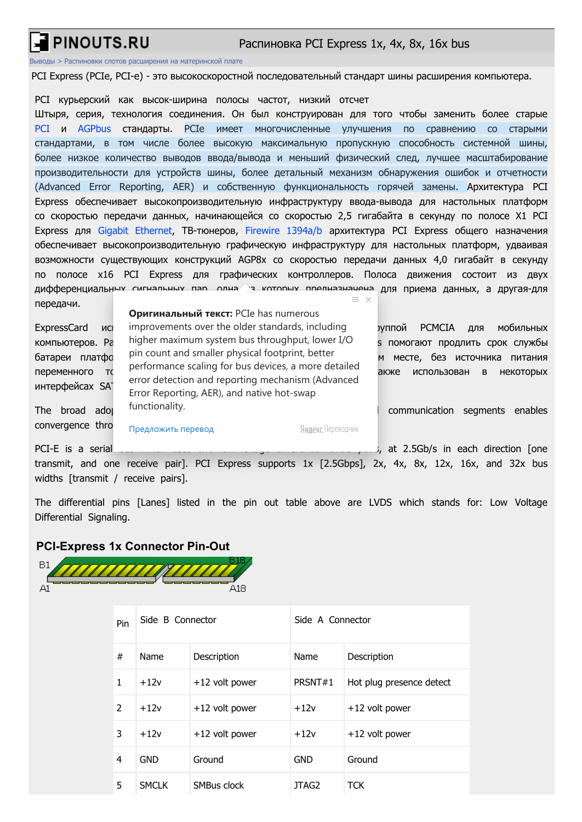# PINOUTS.RU

#### Распиновка PCI Express 1x, 4x, 8x, 16x bus

[Выводы](https://pinouts.ru/) > Распиновки слотов расширения [на материнской](https://pinouts.ru/Slots/rus_index.shtml) плате

PCI Express (PCIe, PCI-e) - это высокоскоростной последовательный стандарт шины расширения компьютера.

PCI курьерский как высок-ширина полосы частот, низкий отсчет

Штыря, серия, технология соединения. Он был конструирован для того чтобы заменить более старые [PCI](http://pinouts.ru/Slots/PCI_pinout.shtml) и [AGPbus](http://old.pinouts.ru/Slots/agp_pinout.shtml) стандарты. PCIe имеет многочисленные улучшения по сравнению со старыми стандартами, в том числе более высокую максимальную пропускную способность системной шины, более низкое количество выводов ввода/вывода и меньший физический след, лучшее масштабирование производительности для устройств шины, более детальный механизм обнаружения ошибок и отчетности (Advanced Error Reporting, AER) и собственную функциональность горячей замены. Архитектура PCI Express обеспечивает высокопроизводительную инфраструктуру ввода-вывода для настольных платформ со скоростью передачи данных, начинающейся со скоростью 2,5 гигабайта в секунду по полосе X1 PCI Express для [Gigabit Ethernet](http://pinoutguide.com/Net/ethernet1000baset_pinout.shtml), ТВ-тюнеров, Firewire [1394a/b](http://pinouts.ru/Slots/ieee1394_pinout.shtml) архитектура PCI Express общего назначения обеспечивает высокопроизводительную графическую инфраструктуру для настольных платформ, удваивая возможности существующих конструкций AGP8x со скоростью передачи данных 4,0 гигабайт в секунду по полосе x16 PCI Express для графических контроллеров. Полоса движения состоит из двух дифференциальных сигнальных пар, одна э которых предназначена для приема данных, а другая-для  $\equiv x$ передачи.

| породачит                                  | Оригинальный текст: PCIe has numerous                                                                                                                   |                                              |
|--------------------------------------------|---------------------------------------------------------------------------------------------------------------------------------------------------------|----------------------------------------------|
| <b>ExpressCard</b><br><b>NCI</b>           | improvements over the older standards, including                                                                                                        | <b>PCMCIA</b><br>мобильных<br>уппой<br>ДЛЯ   |
| компьютеров. Ра                            | higher maximum system bus throughput, lower I/O                                                                                                         | помогают продлить срок службы                |
| батареи платфо                             | pin count and smaller physical footprint, better                                                                                                        | месте, без источника<br>питания<br>M         |
| переменного<br>интерфейсах SA <sup>-</sup> | performance scaling for bus devices, a more detailed<br>error detection and reporting mechanism (Advanced<br>Error Reporting, AER), and native hot-swap | использован<br><b>НЕКОТОРЫХ</b><br>акже<br>B |
| broad<br>The<br>ador                       | functionality.                                                                                                                                          | communication<br>enables<br>segments         |
| convergence thro                           | Яндекс Переводчик<br>Предложить перевод                                                                                                                 |                                              |
| PCI-E is a serial                          |                                                                                                                                                         | at 2.5Gb/s in each direction [one            |

transmit, and one receive pair]. PCI Express supports 1x [2.5Gbps], 2x, 4x, 8x, 12x, 16x, and 32x bus widths [transmit / receive pairs].

The differential pins [Lanes] listed in the pin out table above are LVDS which stands for: Low Voltage Differential Signaling.

#### **PCI-Express 1x Connector Pin-Out**

 $B1$ TITITITITITITI A18

| Pin           | Side B Connector |                  | Side A Connector |                          |
|---------------|------------------|------------------|------------------|--------------------------|
| #             | Name             | Description      | Name             | Description              |
| 1             | $+12v$           | $+12$ volt power | PRSNT#1          | Hot plug presence detect |
| $\mathcal{P}$ | $+12v$           | $+12$ volt power | $+12v$           | $+12$ volt power         |
| 3             | $+12v$           | $+12$ volt power | $+12v$           | +12 volt power           |
| 4             | <b>GND</b>       | Ground           | <b>GND</b>       | Ground                   |
| 5             | SMCI K           | SMBus clock      | JTAG2            | <b>TCK</b>               |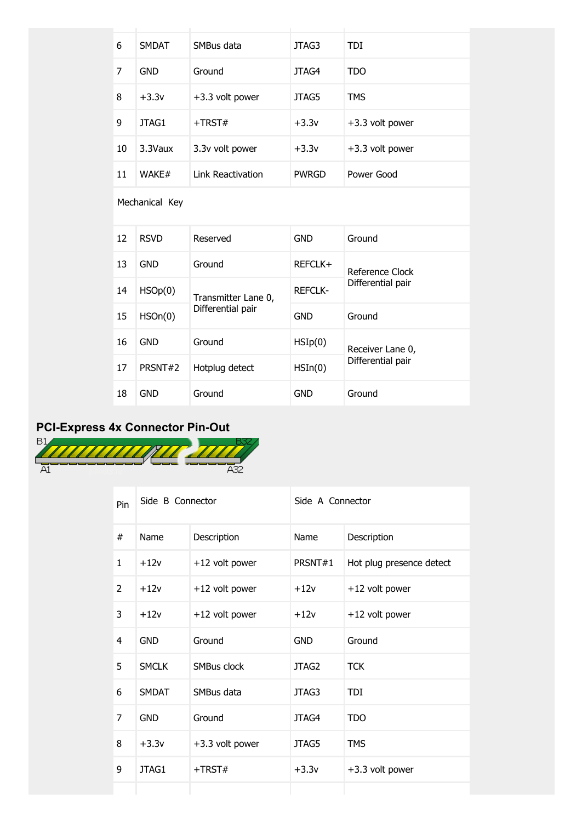| 6              | <b>SMDAT</b> | SMBus data               | JTAG3              | <b>TDI</b>        |  |
|----------------|--------------|--------------------------|--------------------|-------------------|--|
| 7              | <b>GND</b>   | Ground                   | JTAG4              | <b>TDO</b>        |  |
| 8              | $+3.3v$      | $+3.3$ volt power        | JTAG5              | <b>TMS</b>        |  |
| 9              | JTAG1        | $+TRST#$                 | $+3.3v$            | +3.3 volt power   |  |
| 10             | 3.3Vaux      | 3.3v volt power          | $+3.3v$            | +3.3 volt power   |  |
| 11             | WAKE#        | <b>Link Reactivation</b> | <b>PWRGD</b>       | Power Good        |  |
| Mechanical Key |              |                          |                    |                   |  |
| 12             | <b>RSVD</b>  | Reserved                 | <b>GND</b>         | Ground            |  |
| 13             | <b>GND</b>   | Ground                   | REFCLK+            | Reference Clock   |  |
| 14             | HSOp(0)      | Transmitter Lane 0,      | <b>REFCLK-</b>     | Differential pair |  |
| 15             | HSOn(0)      | Differential pair        | <b>GND</b>         | Ground            |  |
| 16             | <b>GND</b>   | Ground                   | $H\mathrm{SIp}(0)$ | Receiver Lane 0,  |  |
| 17             | PRSNT#2      | Hotplug detect           | $H\text{SIn}(0)$   | Differential pair |  |
| 18             | <b>GND</b>   | Ground                   | <b>GND</b>         | Ground            |  |



|               |                  | A32             |                  |                          |  |
|---------------|------------------|-----------------|------------------|--------------------------|--|
| Pin           | Side B Connector |                 | Side A Connector |                          |  |
| $\#$          | Name             | Description     | Name             | Description              |  |
| 1             | $+12v$           | +12 volt power  | PRSNT#1          | Hot plug presence detect |  |
| $\mathcal{P}$ | $+12v$           | +12 volt power  | $+12v$           | +12 volt power           |  |
| 3             | $+12v$           | +12 volt power  | $+12v$           | +12 volt power           |  |
| 4             | <b>GND</b>       | Ground          | <b>GND</b>       | Ground                   |  |
| 5             | <b>SMCLK</b>     | SMBus clock     | JTAG2            | <b>TCK</b>               |  |
| 6             | <b>SMDAT</b>     | SMBus data      | JTAG3            | TDI                      |  |
| 7             | <b>GND</b>       | Ground          | JTAG4            | <b>TDO</b>               |  |
| 8             | $+3.3v$          | +3.3 volt power | JTAG5            | <b>TMS</b>               |  |
| 9             | JTAG1            | $+TRST#$        | $+3.3v$          | +3.3 volt power          |  |
|               |                  |                 |                  |                          |  |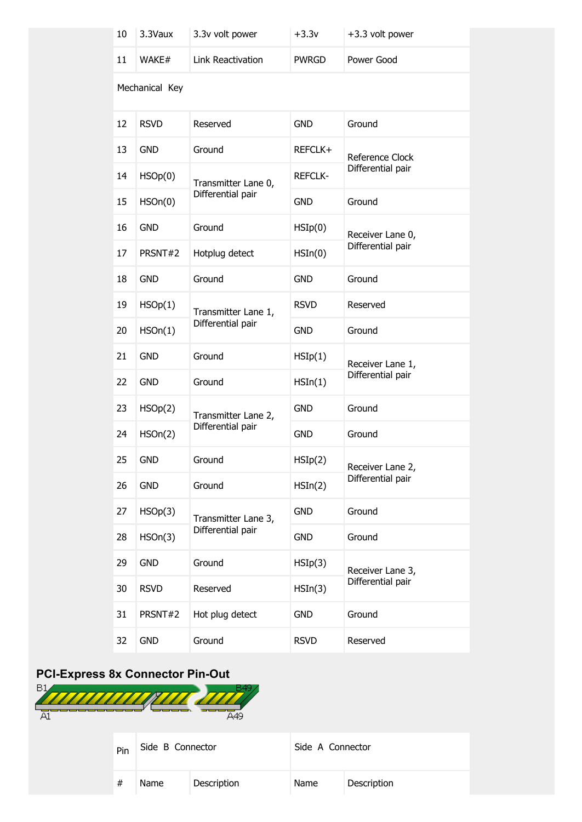| 10 | 3.3Vaux        | 3.3v volt power                          | $+3.3v$          | +3.3 volt power   |
|----|----------------|------------------------------------------|------------------|-------------------|
| 11 | WAKE#          | Link Reactivation                        | <b>PWRGD</b>     | Power Good        |
|    | Mechanical Key |                                          |                  |                   |
| 12 | <b>RSVD</b>    | Reserved                                 | <b>GND</b>       | Ground            |
| 13 | <b>GND</b>     | Ground                                   | REFCLK+          | Reference Clock   |
| 14 | HSOp(0)        | Transmitter Lane 0,                      | <b>REFCLK-</b>   | Differential pair |
| 15 | HSOn(0)        | Differential pair                        | <b>GND</b>       | Ground            |
| 16 | <b>GND</b>     | Ground                                   | HSIp(0)          | Receiver Lane 0,  |
| 17 | PRSNT#2        | Hotplug detect                           | $H\text{SIn}(0)$ | Differential pair |
| 18 | <b>GND</b>     | Ground                                   | <b>GND</b>       | Ground            |
| 19 | HSOp(1)        | Transmitter Lane 1,<br>Differential pair | <b>RSVD</b>      | Reserved          |
| 20 | HSOn(1)        |                                          | <b>GND</b>       | Ground            |
| 21 | <b>GND</b>     | Ground                                   | HSIp(1)          | Receiver Lane 1,  |
| 22 | <b>GND</b>     | Ground                                   | $H\text{SIn}(1)$ | Differential pair |
| 23 | HSOp(2)        | Transmitter Lane 2,                      | <b>GND</b>       | Ground            |
| 24 | HSOn(2)        | Differential pair                        | <b>GND</b>       | Ground            |
| 25 | <b>GND</b>     | Ground                                   | HSIp(2)          | Receiver Lane 2,  |
| 26 | <b>GND</b>     | Ground                                   | $H\text{SIn}(2)$ | Differential pair |
| 27 | HSOp(3)        | Transmitter Lane 3,                      | <b>GND</b>       | Ground            |
| 28 | HSOn(3)        | Differential pair                        | <b>GND</b>       | Ground            |
| 29 | <b>GND</b>     | Ground                                   | HSIp(3)          | Receiver Lane 3,  |
| 30 | <b>RSVD</b>    | Reserved                                 | HSIn(3)          | Differential pair |
| 31 | PRSNT#2        | Hot plug detect                          | <b>GND</b>       | Ground            |
| 32 | <b>GND</b>     | Ground                                   | <b>RSVD</b>      | Reserved          |

## **PCI-Express 8x Connector Pin-Out**

| B1<br>A1 |      |                  | A <sub>49</sub> |                  |             |
|----------|------|------------------|-----------------|------------------|-------------|
|          | Pin  | Side B Connector |                 | Side A Connector |             |
|          | $\#$ | Name             | Description     | Name             | Description |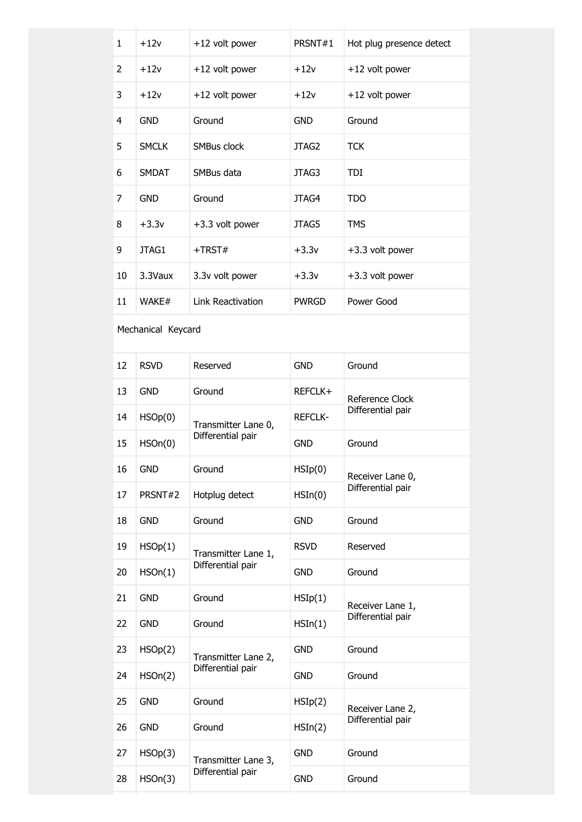| $\mathbf{1}$ | $+12v$       | +12 volt power    | PRSNT#1           | Hot plug presence detect |
|--------------|--------------|-------------------|-------------------|--------------------------|
| 2            | $+12v$       | +12 volt power    | $+12v$            | +12 volt power           |
| 3            | $+12v$       | +12 volt power    | $+12v$            | +12 volt power           |
| 4            | <b>GND</b>   | Ground            | <b>GND</b>        | Ground                   |
| 5            | <b>SMCLK</b> | SMBus clock       | JTAG <sub>2</sub> | <b>TCK</b>               |
| 6            | <b>SMDAT</b> | SMBus data        | JTAG3             | <b>TDI</b>               |
| 7            | <b>GND</b>   | Ground            | JTAG4             | <b>TDO</b>               |
| 8            | $+3.3v$      | +3.3 volt power   | JTAG5             | <b>TMS</b>               |
| 9            | JTAG1        | $+TRST#$          | $+3.3v$           | +3.3 volt power          |
| 10           | 3.3Vaux      | 3.3v volt power   | $+3.3v$           | +3.3 volt power          |
| 11           | WAKE#        | Link Reactivation | <b>PWRGD</b>      | Power Good               |

### Mechanical Keycard

| 12 | <b>RSVD</b> | Reserved            | <b>GND</b>       | Ground            |
|----|-------------|---------------------|------------------|-------------------|
| 13 | <b>GND</b>  | Ground              | REFCLK+          | Reference Clock   |
| 14 | HSOp(0)     | Transmitter Lane 0, | <b>REFCLK-</b>   | Differential pair |
| 15 | HSOn(0)     | Differential pair   | <b>GND</b>       | Ground            |
| 16 | <b>GND</b>  | Ground              | HSIp(0)          | Receiver Lane 0,  |
| 17 | PRSNT#2     | Hotplug detect      | $H\text{SIn}(0)$ | Differential pair |
| 18 | <b>GND</b>  | Ground              | <b>GND</b>       | Ground            |
| 19 | HSOp(1)     | Transmitter Lane 1, | <b>RSVD</b>      | Reserved          |
| 20 | HSOn(1)     | Differential pair   | <b>GND</b>       | Ground            |
| 21 | <b>GND</b>  | Ground              | HSIp(1)          | Receiver Lane 1,  |
| 22 | <b>GND</b>  | Ground              | $H\text{SIn}(1)$ | Differential pair |
| 23 | HSOp(2)     | Transmitter Lane 2, | <b>GND</b>       | Ground            |
| 24 | HSOn(2)     | Differential pair   | <b>GND</b>       | Ground            |
| 25 | <b>GND</b>  | Ground              | HSIp(2)          | Receiver Lane 2,  |
| 26 | <b>GND</b>  | Ground              | $H\text{SIn}(2)$ | Differential pair |
| 27 | HSOp(3)     | Transmitter Lane 3, | <b>GND</b>       | Ground            |
| 28 | HSOn(3)     | Differential pair   | <b>GND</b>       | Ground            |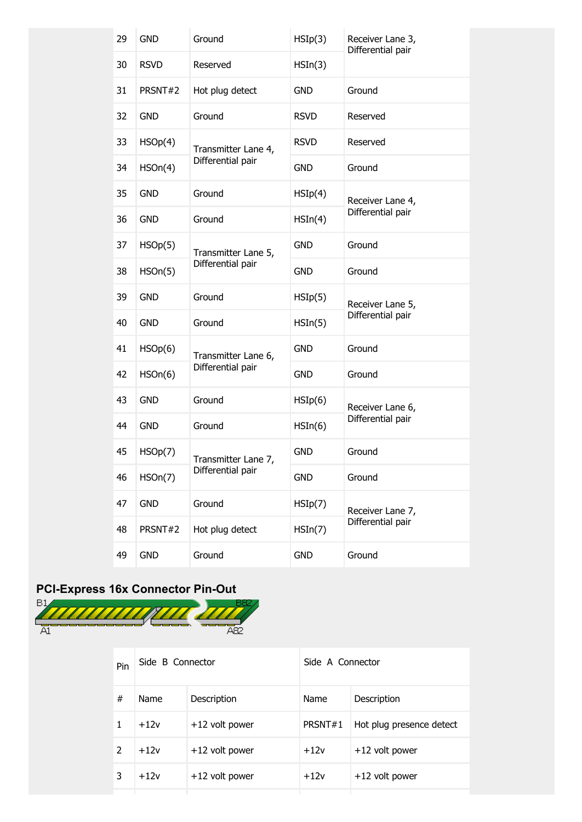| <b>RSVD</b><br>HSIn(3)<br>30<br>Reserved<br>31<br>PRSNT#2<br>Hot plug detect<br><b>GND</b><br>Ground<br>32<br>Ground<br><b>GND</b><br><b>RSVD</b><br>Reserved<br>33<br>Reserved<br>HSOp(4)<br><b>RSVD</b><br>Transmitter Lane 4,<br>Differential pair<br>34<br>HSOn(4)<br><b>GND</b><br>Ground<br><b>GND</b><br>Ground<br>35<br>HSIp(4)<br>Receiver Lane 4,<br>Differential pair<br>36<br><b>GND</b><br>Ground<br>$H\text{SIn}(4)$<br>37<br>Ground<br>HSOp(5)<br><b>GND</b><br>Transmitter Lane 5,<br>Differential pair<br>38<br>HSOn(5)<br><b>GND</b><br>Ground<br>39<br><b>GND</b><br>Ground<br>HSIp(5)<br>Receiver Lane 5,<br>Differential pair<br><b>GND</b><br>Ground<br>40<br>$H\text{SIn}(5)$<br>41<br>Ground<br>HSOp(6)<br><b>GND</b><br>Transmitter Lane 6,<br>Differential pair<br>42<br>Ground<br>HSOn(6)<br><b>GND</b><br>43<br><b>GND</b><br>Ground<br>HSIp(6)<br>Receiver Lane 6,<br>Differential pair<br>44<br><b>GND</b><br>Ground<br>$H\text{SIn}(6)$<br>HSOp(7)<br>Ground<br>45<br><b>GND</b><br>Transmitter Lane 7,<br>Differential pair<br>46<br>HSOn(7)<br>Ground<br><b>GND</b><br>47<br><b>GND</b><br>Ground<br>HSIp(7)<br>Receiver Lane 7,<br>Differential pair<br>48<br>PRSNT#2<br>Hot plug detect<br>HSIn(7) | 29 | <b>GND</b> | Ground | HSIp(3) | Receiver Lane 3,<br>Differential pair |
|---------------------------------------------------------------------------------------------------------------------------------------------------------------------------------------------------------------------------------------------------------------------------------------------------------------------------------------------------------------------------------------------------------------------------------------------------------------------------------------------------------------------------------------------------------------------------------------------------------------------------------------------------------------------------------------------------------------------------------------------------------------------------------------------------------------------------------------------------------------------------------------------------------------------------------------------------------------------------------------------------------------------------------------------------------------------------------------------------------------------------------------------------------------------------------------------------------------------------------------|----|------------|--------|---------|---------------------------------------|
|                                                                                                                                                                                                                                                                                                                                                                                                                                                                                                                                                                                                                                                                                                                                                                                                                                                                                                                                                                                                                                                                                                                                                                                                                                       |    |            |        |         |                                       |
|                                                                                                                                                                                                                                                                                                                                                                                                                                                                                                                                                                                                                                                                                                                                                                                                                                                                                                                                                                                                                                                                                                                                                                                                                                       |    |            |        |         |                                       |
|                                                                                                                                                                                                                                                                                                                                                                                                                                                                                                                                                                                                                                                                                                                                                                                                                                                                                                                                                                                                                                                                                                                                                                                                                                       |    |            |        |         |                                       |
|                                                                                                                                                                                                                                                                                                                                                                                                                                                                                                                                                                                                                                                                                                                                                                                                                                                                                                                                                                                                                                                                                                                                                                                                                                       |    |            |        |         |                                       |
|                                                                                                                                                                                                                                                                                                                                                                                                                                                                                                                                                                                                                                                                                                                                                                                                                                                                                                                                                                                                                                                                                                                                                                                                                                       |    |            |        |         |                                       |
|                                                                                                                                                                                                                                                                                                                                                                                                                                                                                                                                                                                                                                                                                                                                                                                                                                                                                                                                                                                                                                                                                                                                                                                                                                       |    |            |        |         |                                       |
|                                                                                                                                                                                                                                                                                                                                                                                                                                                                                                                                                                                                                                                                                                                                                                                                                                                                                                                                                                                                                                                                                                                                                                                                                                       |    |            |        |         |                                       |
|                                                                                                                                                                                                                                                                                                                                                                                                                                                                                                                                                                                                                                                                                                                                                                                                                                                                                                                                                                                                                                                                                                                                                                                                                                       |    |            |        |         |                                       |
|                                                                                                                                                                                                                                                                                                                                                                                                                                                                                                                                                                                                                                                                                                                                                                                                                                                                                                                                                                                                                                                                                                                                                                                                                                       |    |            |        |         |                                       |
|                                                                                                                                                                                                                                                                                                                                                                                                                                                                                                                                                                                                                                                                                                                                                                                                                                                                                                                                                                                                                                                                                                                                                                                                                                       |    |            |        |         |                                       |
|                                                                                                                                                                                                                                                                                                                                                                                                                                                                                                                                                                                                                                                                                                                                                                                                                                                                                                                                                                                                                                                                                                                                                                                                                                       |    |            |        |         |                                       |
|                                                                                                                                                                                                                                                                                                                                                                                                                                                                                                                                                                                                                                                                                                                                                                                                                                                                                                                                                                                                                                                                                                                                                                                                                                       |    |            |        |         |                                       |
|                                                                                                                                                                                                                                                                                                                                                                                                                                                                                                                                                                                                                                                                                                                                                                                                                                                                                                                                                                                                                                                                                                                                                                                                                                       |    |            |        |         |                                       |
|                                                                                                                                                                                                                                                                                                                                                                                                                                                                                                                                                                                                                                                                                                                                                                                                                                                                                                                                                                                                                                                                                                                                                                                                                                       |    |            |        |         |                                       |
|                                                                                                                                                                                                                                                                                                                                                                                                                                                                                                                                                                                                                                                                                                                                                                                                                                                                                                                                                                                                                                                                                                                                                                                                                                       |    |            |        |         |                                       |
|                                                                                                                                                                                                                                                                                                                                                                                                                                                                                                                                                                                                                                                                                                                                                                                                                                                                                                                                                                                                                                                                                                                                                                                                                                       |    |            |        |         |                                       |
|                                                                                                                                                                                                                                                                                                                                                                                                                                                                                                                                                                                                                                                                                                                                                                                                                                                                                                                                                                                                                                                                                                                                                                                                                                       |    |            |        |         |                                       |
|                                                                                                                                                                                                                                                                                                                                                                                                                                                                                                                                                                                                                                                                                                                                                                                                                                                                                                                                                                                                                                                                                                                                                                                                                                       |    |            |        |         |                                       |
|                                                                                                                                                                                                                                                                                                                                                                                                                                                                                                                                                                                                                                                                                                                                                                                                                                                                                                                                                                                                                                                                                                                                                                                                                                       |    |            |        |         |                                       |
| Ground<br><b>GND</b><br><b>GND</b><br>Ground<br>49                                                                                                                                                                                                                                                                                                                                                                                                                                                                                                                                                                                                                                                                                                                                                                                                                                                                                                                                                                                                                                                                                                                                                                                    |    |            |        |         |                                       |

# **PCI-Express 16x Connector Pin-Out**



| Pin | Side B Connector |                  | Side A Connector |                          |
|-----|------------------|------------------|------------------|--------------------------|
| #   | <b>Name</b>      | Description      | Name             | Description              |
|     | $+12v$           | +12 volt power   | PRSNT#1          | Hot plug presence detect |
|     | $+12v$           | +12 volt power   | $+12v$           | +12 volt power           |
| 3   | $+12v$           | $+12$ volt power | $+12v$           | +12 volt power           |
|     |                  |                  |                  |                          |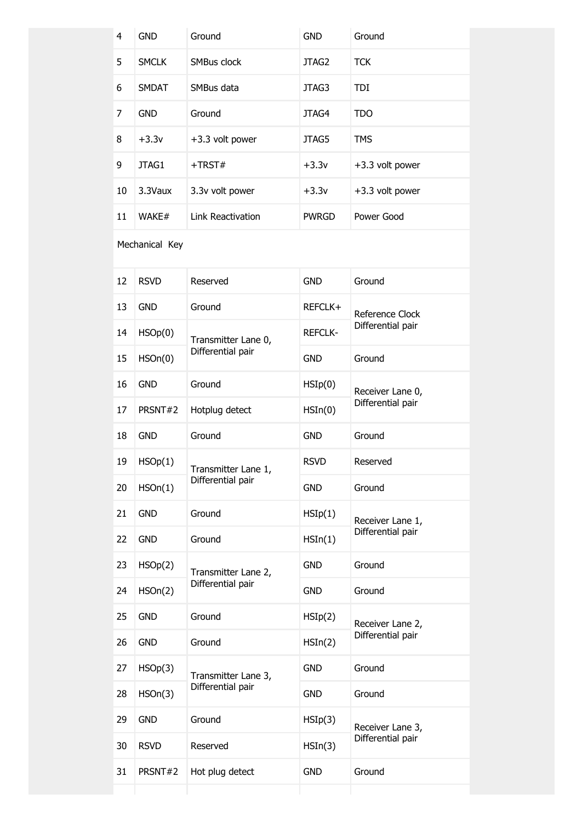| 4  | <b>GND</b>   | Ground            | <b>GND</b>   | Ground          |
|----|--------------|-------------------|--------------|-----------------|
| 5  | <b>SMCLK</b> | SMBus clock       | JTAG2        | <b>TCK</b>      |
| 6  | <b>SMDAT</b> | SMBus data        | JTAG3        | <b>TDI</b>      |
| 7  | <b>GND</b>   | Ground            | JTAG4        | <b>TDO</b>      |
| 8  | $+3.3v$      | +3.3 volt power   | JTAG5        | <b>TMS</b>      |
| 9  | JTAG1        | $+T RST#$         | $+3.3v$      | +3.3 volt power |
| 10 | 3.3Vaux      | 3.3v volt power   | $+3.3v$      | +3.3 volt power |
| 11 | WAKE#        | Link Reactivation | <b>PWRGD</b> | Power Good      |

### Mechanical Key

| 12 | <b>RSVD</b> | Reserved            | <b>GND</b>       | Ground            |
|----|-------------|---------------------|------------------|-------------------|
| 13 | <b>GND</b>  | Ground              | REFCLK+          | Reference Clock   |
| 14 | HSOp(0)     | Transmitter Lane 0, | <b>REFCLK-</b>   | Differential pair |
| 15 | HSOn(0)     | Differential pair   | <b>GND</b>       | Ground            |
| 16 | <b>GND</b>  | Ground              | HSIp(0)          | Receiver Lane 0,  |
| 17 | PRSNT#2     | Hotplug detect      | $H\text{SIn}(0)$ | Differential pair |
| 18 | <b>GND</b>  | Ground              | <b>GND</b>       | Ground            |
| 19 | HSOp(1)     | Transmitter Lane 1, | <b>RSVD</b>      | Reserved          |
| 20 | HSOn(1)     | Differential pair   | <b>GND</b>       | Ground            |
| 21 | <b>GND</b>  | Ground              | HSIp(1)          | Receiver Lane 1,  |
| 22 | <b>GND</b>  | Ground              | $H\text{SIn}(1)$ | Differential pair |
| 23 | HSOp(2)     | Transmitter Lane 2, | <b>GND</b>       | Ground            |
| 24 | HSOn(2)     | Differential pair   | <b>GND</b>       | Ground            |
| 25 | <b>GND</b>  | Ground              | HSIp(2)          | Receiver Lane 2,  |
| 26 | <b>GND</b>  | Ground              | $H\text{SIn}(2)$ | Differential pair |
| 27 | HSOp(3)     | Transmitter Lane 3, | <b>GND</b>       | Ground            |
| 28 | HSOn(3)     | Differential pair   | <b>GND</b>       | Ground            |
| 29 | <b>GND</b>  | Ground              | HSIp(3)          | Receiver Lane 3,  |
| 30 | <b>RSVD</b> | Reserved            | HSIn(3)          | Differential pair |
| 31 | PRSNT#2     | Hot plug detect     | <b>GND</b>       | Ground            |
|    |             |                     |                  |                   |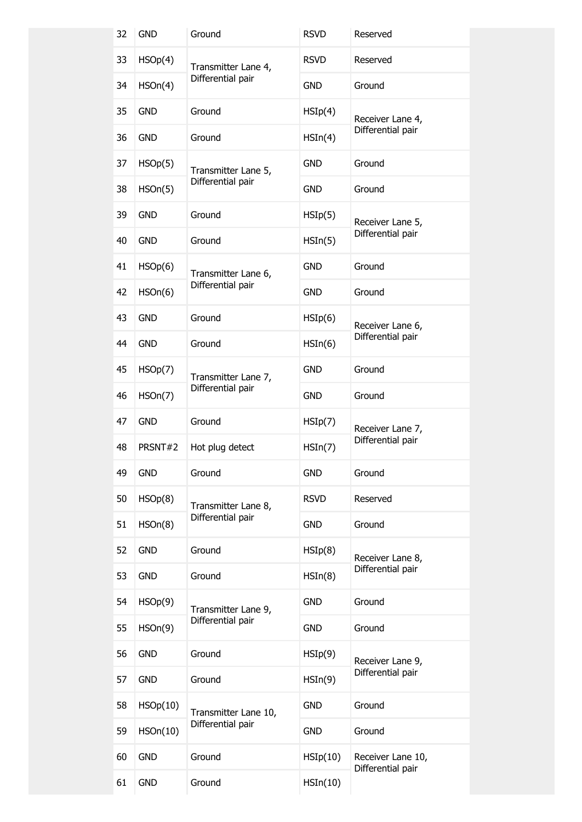| 32 | <b>GND</b> | Ground                                   | <b>RSVD</b>       | Reserved                               |  |
|----|------------|------------------------------------------|-------------------|----------------------------------------|--|
| 33 | HSOp(4)    | Transmitter Lane 4,                      | <b>RSVD</b>       | Reserved                               |  |
| 34 | HSOn(4)    | Differential pair                        | <b>GND</b>        | Ground                                 |  |
| 35 | <b>GND</b> | Ground                                   | HSIp(4)           | Receiver Lane 4,                       |  |
| 36 | <b>GND</b> | Ground                                   | $H\text{SIn}(4)$  | Differential pair                      |  |
| 37 | HSOp(5)    | Transmitter Lane 5,                      | <b>GND</b>        | Ground                                 |  |
| 38 | HSOn(5)    | Differential pair                        | <b>GND</b>        | Ground                                 |  |
| 39 | <b>GND</b> | Ground                                   | HSIp(5)           | Receiver Lane 5,                       |  |
| 40 | <b>GND</b> | Ground                                   | HSIn(5)           | Differential pair                      |  |
| 41 | HSOp(6)    | Transmitter Lane 6,                      | <b>GND</b>        | Ground                                 |  |
| 42 | HSOn(6)    | Differential pair                        | <b>GND</b>        | Ground                                 |  |
| 43 | <b>GND</b> | Ground                                   | HSIp(6)           | Receiver Lane 6,                       |  |
| 44 | <b>GND</b> | Ground                                   | $H\text{SIn}(6)$  | Differential pair                      |  |
| 45 | HSOp(7)    | Transmitter Lane 7,<br>Differential pair | GND               | Ground                                 |  |
| 46 | HSOn(7)    |                                          | <b>GND</b>        | Ground                                 |  |
| 47 | <b>GND</b> | Ground                                   | HSIp(7)           | Receiver Lane 7,                       |  |
| 48 | PRSNT#2    | Hot plug detect                          | HSIn(7)           | Differential pair                      |  |
| 49 | <b>GND</b> | Ground                                   | <b>GND</b>        | Ground                                 |  |
| 50 | HSOp(8)    | Transmitter Lane 8,                      | <b>RSVD</b>       | Reserved                               |  |
| 51 | HSOn(8)    | Differential pair                        | <b>GND</b>        | Ground                                 |  |
| 52 | <b>GND</b> | Ground                                   | HSIp(8)           | Receiver Lane 8,                       |  |
| 53 | <b>GND</b> | Ground                                   | $H\text{SIn}(8)$  | Differential pair                      |  |
| 54 | HSOp(9)    | Transmitter Lane 9,                      | <b>GND</b>        | Ground                                 |  |
| 55 | HSOn(9)    | Differential pair                        | <b>GND</b>        | Ground                                 |  |
| 56 | <b>GND</b> | Ground                                   | HSIp(9)           | Receiver Lane 9,                       |  |
| 57 | <b>GND</b> | Ground                                   | HSIn(9)           | Differential pair                      |  |
| 58 | HSOp(10)   | Transmitter Lane 10,                     | <b>GND</b>        | Ground                                 |  |
| 59 | HSOn(10)   | Differential pair                        | <b>GND</b>        | Ground                                 |  |
| 60 | <b>GND</b> | Ground                                   | HSIp(10)          | Receiver Lane 10,<br>Differential pair |  |
| 61 | <b>GND</b> | Ground                                   | $H\text{SIn}(10)$ |                                        |  |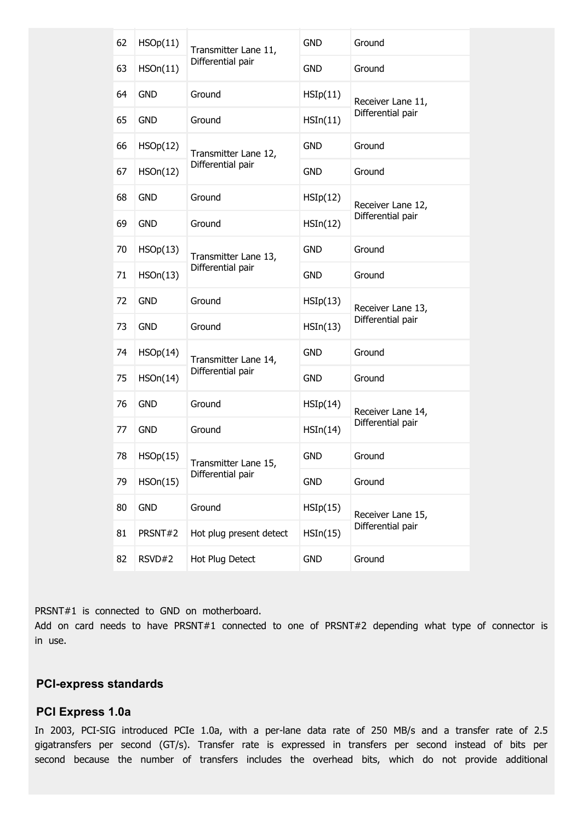| 62 | HSOp(11)   | Transmitter Lane 11,    | <b>GND</b>        | Ground                                 |  |
|----|------------|-------------------------|-------------------|----------------------------------------|--|
| 63 | HSOn(11)   | Differential pair       | <b>GND</b>        | Ground                                 |  |
| 64 | <b>GND</b> | Ground                  | HSIp(11)          | Receiver Lane 11,                      |  |
| 65 | <b>GND</b> | Ground                  | HSIn(11)          | Differential pair                      |  |
| 66 | HSOp(12)   | Transmitter Lane 12,    | <b>GND</b>        | Ground                                 |  |
| 67 | HSOn(12)   | Differential pair       | <b>GND</b>        | Ground                                 |  |
| 68 | <b>GND</b> | Ground                  | HSIp(12)          | Receiver Lane 12,<br>Differential pair |  |
| 69 | <b>GND</b> | Ground                  | $H\text{SIn}(12)$ |                                        |  |
| 70 | HSOp(13)   | Transmitter Lane 13,    | <b>GND</b>        | Ground                                 |  |
| 71 | HSOn(13)   | Differential pair       | <b>GND</b>        | Ground                                 |  |
| 72 | <b>GND</b> | Ground                  | HSIp(13)          | Receiver Lane 13,                      |  |
| 73 | <b>GND</b> | Ground                  | $H\text{SIn}(13)$ | Differential pair                      |  |
| 74 | HSOp(14)   | Transmitter Lane 14,    | <b>GND</b>        | Ground                                 |  |
| 75 | HSOn(14)   | Differential pair       | <b>GND</b>        | Ground                                 |  |
| 76 | <b>GND</b> | Ground                  | HSIp(14)          | Receiver Lane 14,<br>Differential pair |  |
| 77 | <b>GND</b> | Ground                  | HSIn(14)          |                                        |  |
| 78 | HSOp(15)   | Transmitter Lane 15,    | <b>GND</b>        | Ground                                 |  |
| 79 | HSOn(15)   | Differential pair       | <b>GND</b>        | Ground                                 |  |
| 80 | <b>GND</b> | Ground                  | HSIp(15)          | Receiver Lane 15,<br>Differential pair |  |
| 81 | PRSNT#2    | Hot plug present detect | HSIn(15)          |                                        |  |
| 82 | RSVD#2     | Hot Plug Detect         | <b>GND</b>        | Ground                                 |  |

PRSNT#1 is connected to GND on motherboard.

Add on card needs to have PRSNT#1 connected to one of PRSNT#2 depending what type of connector is in use.

### **PCI-express standards**

#### **PCI Express 1.0a**

In 2003, PCI-SIG introduced PCIe 1.0a, with a per-lane data rate of 250 MB/s and a transfer rate of 2.5 gigatransfers per second (GT/s). Transfer rate is expressed in transfers per second instead of bits per second because the number of transfers includes the overhead bits, which do not provide additional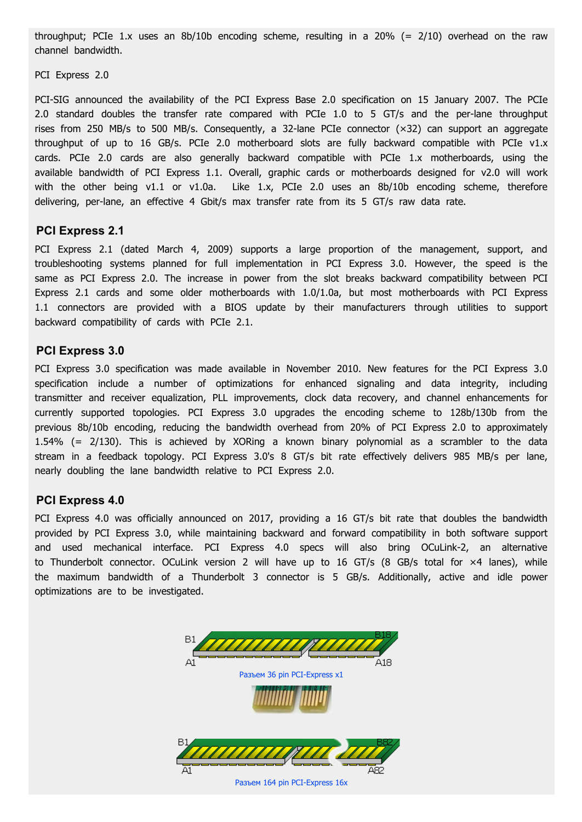throughput; PCIe 1.x uses an 8b/10b encoding scheme, resulting in a 20% (= 2/10) overhead on the raw channel bandwidth.

PCI Express 2.0

PCI-SIG announced the availability of the PCI Express Base 2.0 specification on 15 January 2007. The PCIe 2.0 standard doubles the transfer rate compared with PCIe 1.0 to 5 GT/s and the per-lane throughput rises from 250 MB/s to 500 MB/s. Consequently, a 32-lane PCIe connector (×32) can support an aggregate throughput of up to 16 GB/s. PCIe 2.0 motherboard slots are fully backward compatible with PCIe v1.x cards. PCIe 2.0 cards are also generally backward compatible with PCIe 1.x motherboards, using the available bandwidth of PCI Express 1.1. Overall, graphic cards or motherboards designed for v2.0 will work with the other being v1.1 or v1.0a. Like 1.x, PCIe 2.0 uses an 8b/10b encoding scheme, therefore delivering, per-lane, an effective 4 Gbit/s max transfer rate from its 5 GT/s raw data rate.

#### **PCI Express 2.1**

PCI Express 2.1 (dated March 4, 2009) supports a large proportion of the management, support, and troubleshooting systems planned for full implementation in PCI Express 3.0. However, the speed is the same as PCI Express 2.0. The increase in power from the slot breaks backward compatibility between PCI Express 2.1 cards and some older motherboards with 1.0/1.0a, but most motherboards with PCI Express 1.1 connectors are provided with a BIOS update by their manufacturers through utilities to support backward compatibility of cards with PCIe 2.1.

#### **PCI Express 3.0**

PCI Express 3.0 specification was made available in November 2010. New features for the PCI Express 3.0 specification include a number of optimizations for enhanced signaling and data integrity, including transmitter and receiver equalization, PLL improvements, clock data recovery, and channel enhancements for currently supported topologies. PCI Express 3.0 upgrades the encoding scheme to 128b/130b from the previous 8b/10b encoding, reducing the bandwidth overhead from 20% of PCI Express 2.0 to approximately 1.54% (= 2/130). This is achieved by XORing a known binary polynomial as a scrambler to the data stream in a feedback topology. PCI Express 3.0's 8 GT/s bit rate effectively delivers 985 MB/s per lane, nearly doubling the lane bandwidth relative to PCI Express 2.0.

#### **PCI Express 4.0**

PCI Express 4.0 was officially announced on 2017, providing a 16 GT/s bit rate that doubles the bandwidth provided by PCI Express 3.0, while maintaining backward and forward compatibility in both software support and used mechanical interface. PCI Express 4.0 specs will also bring OCuLink-2, an alternative to Thunderbolt connector. OCuLink version 2 will have up to 16 GT/s (8 GB/s total for ×4 lanes), while the maximum bandwidth of a Thunderbolt 3 connector is 5 GB/s. Additionally, active and idle power optimizations are to be investigated.